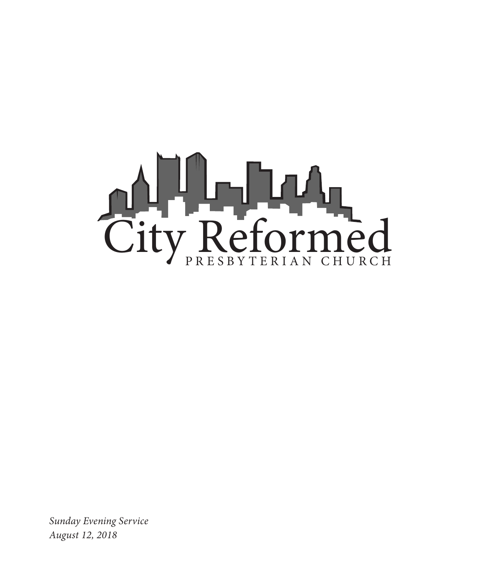

*Sunday Evening Service August 12, 2018*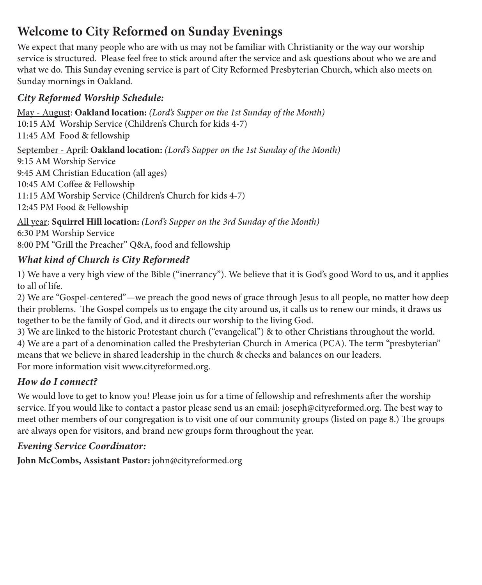# **Welcome to City Reformed on Sunday Evenings**

We expect that many people who are with us may not be familiar with Christianity or the way our worship service is structured. Please feel free to stick around after the service and ask questions about who we are and what we do. This Sunday evening service is part of City Reformed Presbyterian Church, which also meets on Sunday mornings in Oakland.

### *City Reformed Worship Schedule:*

May - August: **Oakland location:** *(Lord's Supper on the 1st Sunday of the Month)* 10:15 AM Worship Service (Children's Church for kids 4-7) 11:45 AM Food & fellowship

September - April: **Oakland location:** *(Lord's Supper on the 1st Sunday of the Month)* 9:15 AM Worship Service 9:45 AM Christian Education (all ages) 10:45 AM Coffee & Fellowship 11:15 AM Worship Service (Children's Church for kids 4-7)

12:45 PM Food & Fellowship

All year: **Squirrel Hill location:** *(Lord's Supper on the 3rd Sunday of the Month)* 6:30 PM Worship Service 8:00 PM "Grill the Preacher" Q&A, food and fellowship

### *What kind of Church is City Reformed?*

1) We have a very high view of the Bible ("inerrancy"). We believe that it is God's good Word to us, and it applies to all of life.

2) We are "Gospel-centered"—we preach the good news of grace through Jesus to all people, no matter how deep their problems. The Gospel compels us to engage the city around us, it calls us to renew our minds, it draws us together to be the family of God, and it directs our worship to the living God.

3) We are linked to the historic Protestant church ("evangelical") & to other Christians throughout the world. 4) We are a part of a denomination called the Presbyterian Church in America (PCA). The term "presbyterian" means that we believe in shared leadership in the church & checks and balances on our leaders. For more information visit www.cityreformed.org.

#### *How do I connect?*

We would love to get to know you! Please join us for a time of fellowship and refreshments after the worship service. If you would like to contact a pastor please send us an email: joseph@cityreformed.org. The best way to meet other members of our congregation is to visit one of our community groups (listed on page 8.) The groups are always open for visitors, and brand new groups form throughout the year.

#### *Evening Service Coordinator:*

**John McCombs, Assistant Pastor:** john@cityreformed.org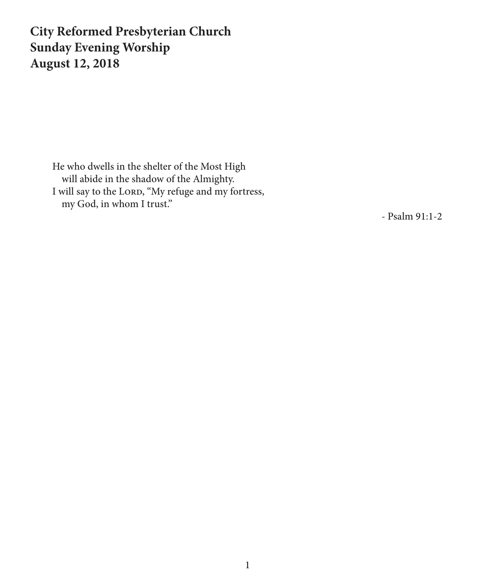# **City Reformed Presbyterian Church Sunday Evening Worship August 12, 2018**

He who dwells in the shelter of the Most High will abide in the shadow of the Almighty. I will say to the Lorp, "My refuge and my fortress, my God, in whom I trust."

- Psalm 91:1-2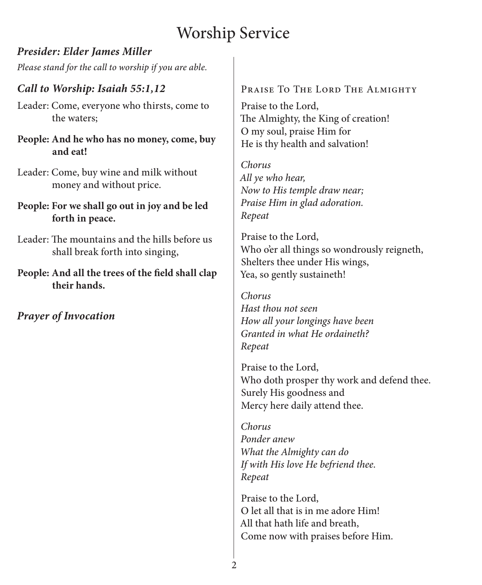# Worship Service

### *Presider: Elder James Miller*

*Please stand for the call to worship if you are able.*

# *Call to Worship: Isaiah 55:1,12*

- Leader: Come, everyone who thirsts, come to the waters;
- **People: And he who has no money, come, buy and eat!**
- Leader: Come, buy wine and milk without money and without price.
- **People: For we shall go out in joy and be led forth in peace.**
- Leader: The mountains and the hills before us shall break forth into singing,
- **People: And all the trees of the field shall clap their hands.**

*Prayer of Invocation*

## PRAISE TO THE LORD THE ALMIGHTY

Praise to the Lord, The Almighty, the King of creation! O my soul, praise Him for He is thy health and salvation!

*Chorus All ye who hear, Now to His temple draw near; Praise Him in glad adoration. Repeat*

Praise to the Lord, Who o'er all things so wondrously reigneth, Shelters thee under His wings, Yea, so gently sustaineth!

*Chorus Hast thou not seen How all your longings have been Granted in what He ordaineth? Repeat*

Praise to the Lord, Who doth prosper thy work and defend thee. Surely His goodness and Mercy here daily attend thee.

*Chorus Ponder anew What the Almighty can do If with His love He befriend thee. Repeat*

Praise to the Lord, O let all that is in me adore Him! All that hath life and breath, Come now with praises before Him.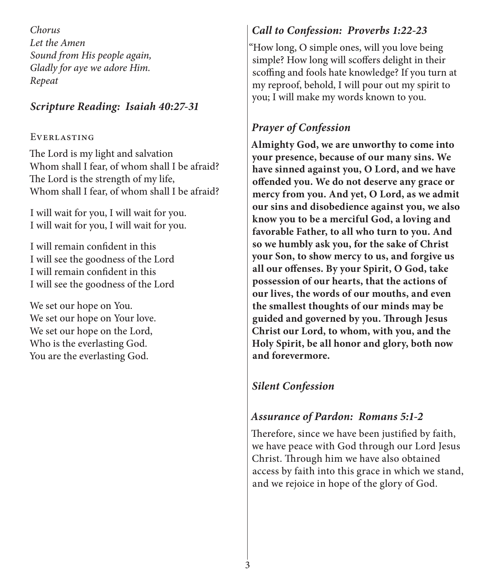*Chorus Let the Amen Sound from His people again, Gladly for aye we adore Him. Repeat*

### *Scripture Reading: Isaiah 40:27-31*

#### **EVERLASTING**

The Lord is my light and salvation Whom shall I fear, of whom shall I be afraid? The Lord is the strength of my life, Whom shall I fear, of whom shall I be afraid?

I will wait for you, I will wait for you. I will wait for you, I will wait for you.

I will remain confident in this I will see the goodness of the Lord I will remain confident in this I will see the goodness of the Lord

We set our hope on You. We set our hope on Your love. We set our hope on the Lord, Who is the everlasting God. You are the everlasting God.

# *Call to Confession: Proverbs 1:22-23*

"How long, O simple ones, will you love being simple? How long will scoffers delight in their scoffing and fools hate knowledge? If you turn at my reproof, behold, I will pour out my spirit to you; I will make my words known to you.

# *Prayer of Confession*

**Almighty God, we are unworthy to come into your presence, because of our many sins. We have sinned against you, O Lord, and we have offended you. We do not deserve any grace or mercy from you. And yet, O Lord, as we admit our sins and disobedience against you, we also know you to be a merciful God, a loving and favorable Father, to all who turn to you. And so we humbly ask you, for the sake of Christ your Son, to show mercy to us, and forgive us all our offenses. By your Spirit, O God, take possession of our hearts, that the actions of our lives, the words of our mouths, and even the smallest thoughts of our minds may be guided and governed by you. Through Jesus Christ our Lord, to whom, with you, and the Holy Spirit, be all honor and glory, both now and forevermore.** 

# *Silent Confession*

# *Assurance of Pardon: Romans 5:1-2*

Therefore, since we have been justified by faith, we have peace with God through our Lord Jesus Christ. Through him we have also obtained access by faith into this grace in which we stand, and we rejoice in hope of the glory of God.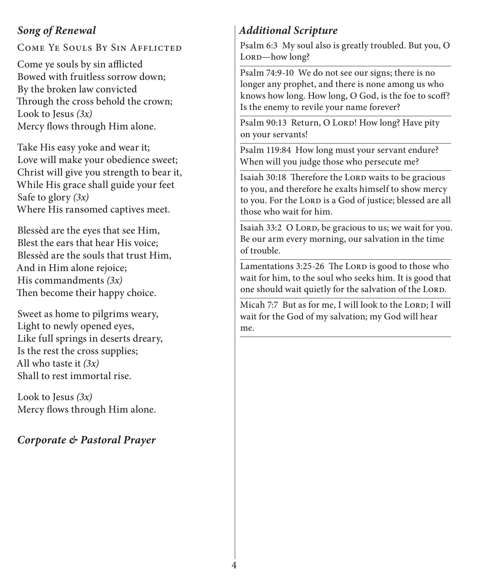### *Song of Renewal*

Come Ye Souls By Sin Afflicted

Come ye souls by sin afflicted Bowed with fruitless sorrow down; By the broken law convicted Through the cross behold the crown; Look to Jesus *(3x)* Mercy flows through Him alone.

Take His easy yoke and wear it; Love will make your obedience sweet; Christ will give you strength to bear it, While His grace shall guide your feet Safe to glory *(3x)* Where His ransomed captives meet.

Blessèd are the eyes that see Him, Blest the ears that hear His voice; Blessèd are the souls that trust Him, And in Him alone rejoice; His commandments *(3x)* Then become their happy choice.

Sweet as home to pilgrims weary, Light to newly opened eyes, Like full springs in deserts dreary, Is the rest the cross supplies; All who taste it *(3x)* Shall to rest immortal rise.

Look to Jesus *(3x)* Mercy flows through Him alone.

### *Corporate & Pastoral Prayer*

# *Additional Scripture*

Psalm 6:3 My soul also is greatly troubled. But you, O Lorp-how long?

Psalm 74:9-10 We do not see our signs; there is no longer any prophet, and there is none among us who knows how long. How long, O God, is the foe to scoff? Is the enemy to revile your name forever?

Psalm 90:13 Return, O LORD! How long? Have pity on your servants!

Psalm 119:84 How long must your servant endure? When will you judge those who persecute me?

Isaiah 30:18 Therefore the LORD waits to be gracious to you, and therefore he exalts himself to show mercy to you. For the Lorp is a God of justice; blessed are all those who wait for him.

Isaiah 33:2 O LORD, be gracious to us; we wait for you. Be our arm every morning, our salvation in the time of trouble.

Lamentations 3:25-26 The LORD is good to those who wait for him, to the soul who seeks him. It is good that one should wait quietly for the salvation of the LORD.

Micah 7:7 But as for me, I will look to the LORD; I will wait for the God of my salvation; my God will hear me.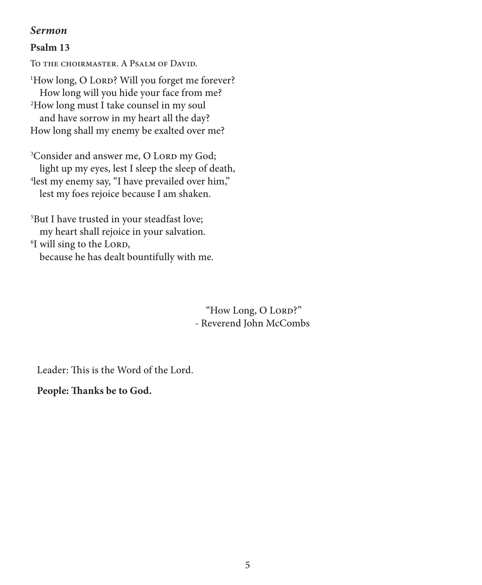#### *Sermon*

#### **Psalm 13**

To the choirmaster. A Psalm of David. <sup>1</sup>How long, O LORD? Will you forget me forever? How long will you hide your face from me? 2 How long must I take counsel in my soul and have sorrow in my heart all the day? How long shall my enemy be exalted over me?

<sup>3</sup>Consider and answer me, O Lord my God; light up my eyes, lest I sleep the sleep of death, 4 lest my enemy say, "I have prevailed over him," lest my foes rejoice because I am shaken.

5 But I have trusted in your steadfast love; my heart shall rejoice in your salvation. <sup>6</sup>I will sing to the LORD, because he has dealt bountifully with me.

> "How Long, O Lorp?" - Reverend John McCombs

Leader: This is the Word of the Lord.

#### **People: Thanks be to God.**